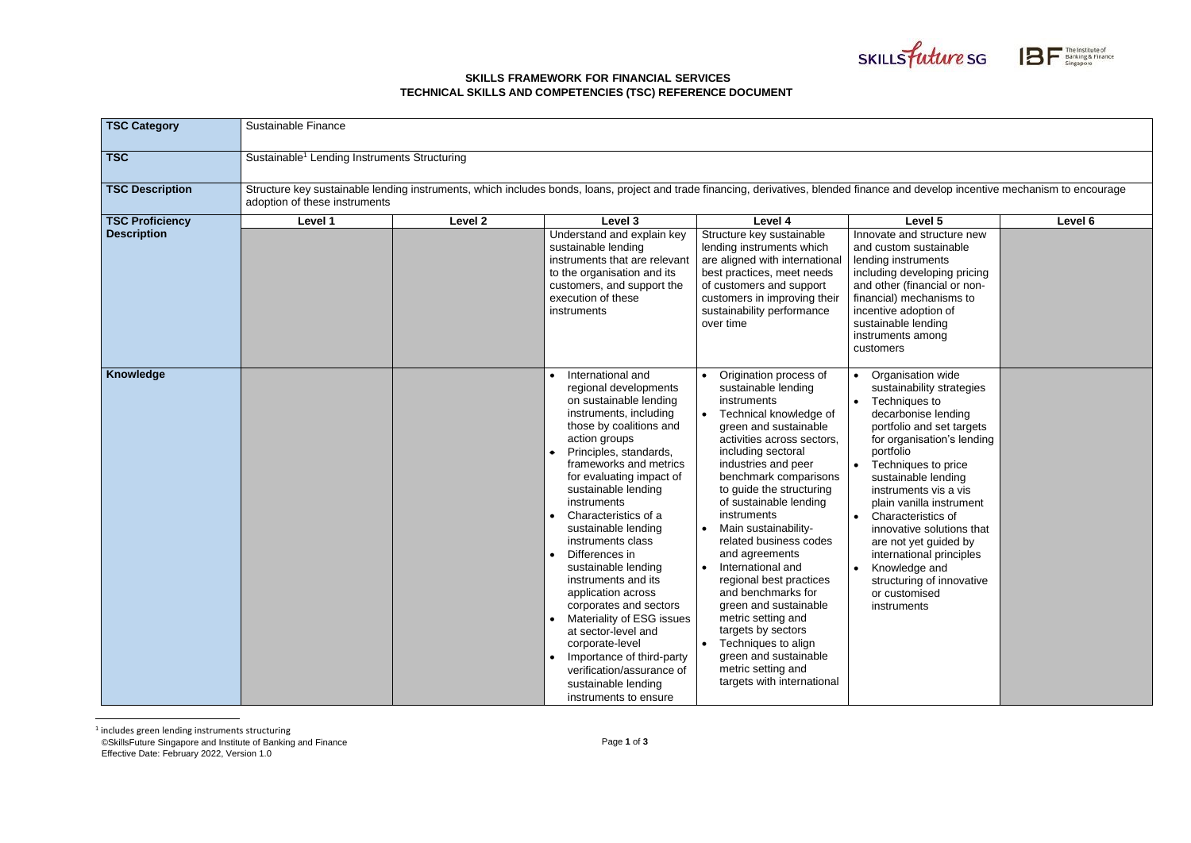©SkillsFuture Singapore and Institute of Banking and Finance Effective Date: February 2022, Version 1.0

## **SKILLS FRAMEWORK FOR FINANCIAL SERVICES TECHNICAL SKILLS AND COMPETENCIES (TSC) REFERENCE DOCUMENT**





| <b>TSC Category</b>                          | <b>Sustainable Finance</b>                                                                                                                                                                                          |         |                                                                                                                                                                                                                                                                                                                                                                                                                                                                                                                                                                                                                                                                 |                                                                                                                                                                                                                                                                                                                                                                                                                                                                                                                                                                                                                            |                                                                                                                                                                                                                                                                                                                                                                                                                                                                |         |  |
|----------------------------------------------|---------------------------------------------------------------------------------------------------------------------------------------------------------------------------------------------------------------------|---------|-----------------------------------------------------------------------------------------------------------------------------------------------------------------------------------------------------------------------------------------------------------------------------------------------------------------------------------------------------------------------------------------------------------------------------------------------------------------------------------------------------------------------------------------------------------------------------------------------------------------------------------------------------------------|----------------------------------------------------------------------------------------------------------------------------------------------------------------------------------------------------------------------------------------------------------------------------------------------------------------------------------------------------------------------------------------------------------------------------------------------------------------------------------------------------------------------------------------------------------------------------------------------------------------------------|----------------------------------------------------------------------------------------------------------------------------------------------------------------------------------------------------------------------------------------------------------------------------------------------------------------------------------------------------------------------------------------------------------------------------------------------------------------|---------|--|
| <b>TSC</b>                                   | Sustainable <sup>1</sup> Lending Instruments Structuring                                                                                                                                                            |         |                                                                                                                                                                                                                                                                                                                                                                                                                                                                                                                                                                                                                                                                 |                                                                                                                                                                                                                                                                                                                                                                                                                                                                                                                                                                                                                            |                                                                                                                                                                                                                                                                                                                                                                                                                                                                |         |  |
| <b>TSC Description</b>                       | Structure key sustainable lending instruments, which includes bonds, loans, project and trade financing, derivatives, blended finance and develop incentive mechanism to encourage<br>adoption of these instruments |         |                                                                                                                                                                                                                                                                                                                                                                                                                                                                                                                                                                                                                                                                 |                                                                                                                                                                                                                                                                                                                                                                                                                                                                                                                                                                                                                            |                                                                                                                                                                                                                                                                                                                                                                                                                                                                |         |  |
| <b>TSC Proficiency</b><br><b>Description</b> | Level 1                                                                                                                                                                                                             | Level 2 | Level 3<br>Understand and explain key<br>sustainable lending<br>instruments that are relevant<br>to the organisation and its<br>customers, and support the<br>execution of these<br>instruments                                                                                                                                                                                                                                                                                                                                                                                                                                                                 | Level 4<br>Structure key sustainable<br>lending instruments which<br>are aligned with international<br>best practices, meet needs<br>of customers and support<br>customers in improving their<br>sustainability performance<br>over time                                                                                                                                                                                                                                                                                                                                                                                   | Level 5<br>Innovate and structure new<br>and custom sustainable<br>lending instruments<br>including developing pricing<br>and other (financial or non-<br>financial) mechanisms to<br>incentive adoption of<br>sustainable lending<br>instruments among<br>customers                                                                                                                                                                                           | Level 6 |  |
| Knowledge                                    |                                                                                                                                                                                                                     |         | International and<br>regional developments<br>on sustainable lending<br>instruments, including<br>those by coalitions and<br>action groups<br>Principles, standards,<br>frameworks and metrics<br>for evaluating impact of<br>sustainable lending<br>instruments<br>Characteristics of a<br>sustainable lending<br>instruments class<br>Differences in<br>sustainable lending<br>instruments and its<br>application across<br>corporates and sectors<br>Materiality of ESG issues<br>$\bullet$<br>at sector-level and<br>corporate-level<br>Importance of third-party<br>$\bullet$<br>verification/assurance of<br>sustainable lending<br>instruments to ensure | Origination process of<br>sustainable lending<br>instruments<br>Technical knowledge of<br>green and sustainable<br>activities across sectors,<br>including sectoral<br>industries and peer<br>benchmark comparisons<br>to guide the structuring<br>of sustainable lending<br>instruments<br>• Main sustainability-<br>related business codes<br>and agreements<br>International and<br>regional best practices<br>and benchmarks for<br>green and sustainable<br>metric setting and<br>targets by sectors<br>Techniques to align<br>$\bullet$<br>green and sustainable<br>metric setting and<br>targets with international | Organisation wide<br>sustainability strategies<br>Techniques to<br>decarbonise lending<br>portfolio and set targets<br>for organisation's lending<br>portfolio<br>Techniques to price<br>sustainable lending<br>instruments vis a vis<br>plain vanilla instrument<br><b>Characteristics of</b><br>innovative solutions that<br>are not yet guided by<br>international principles<br>Knowledge and<br>structuring of innovative<br>or customised<br>instruments |         |  |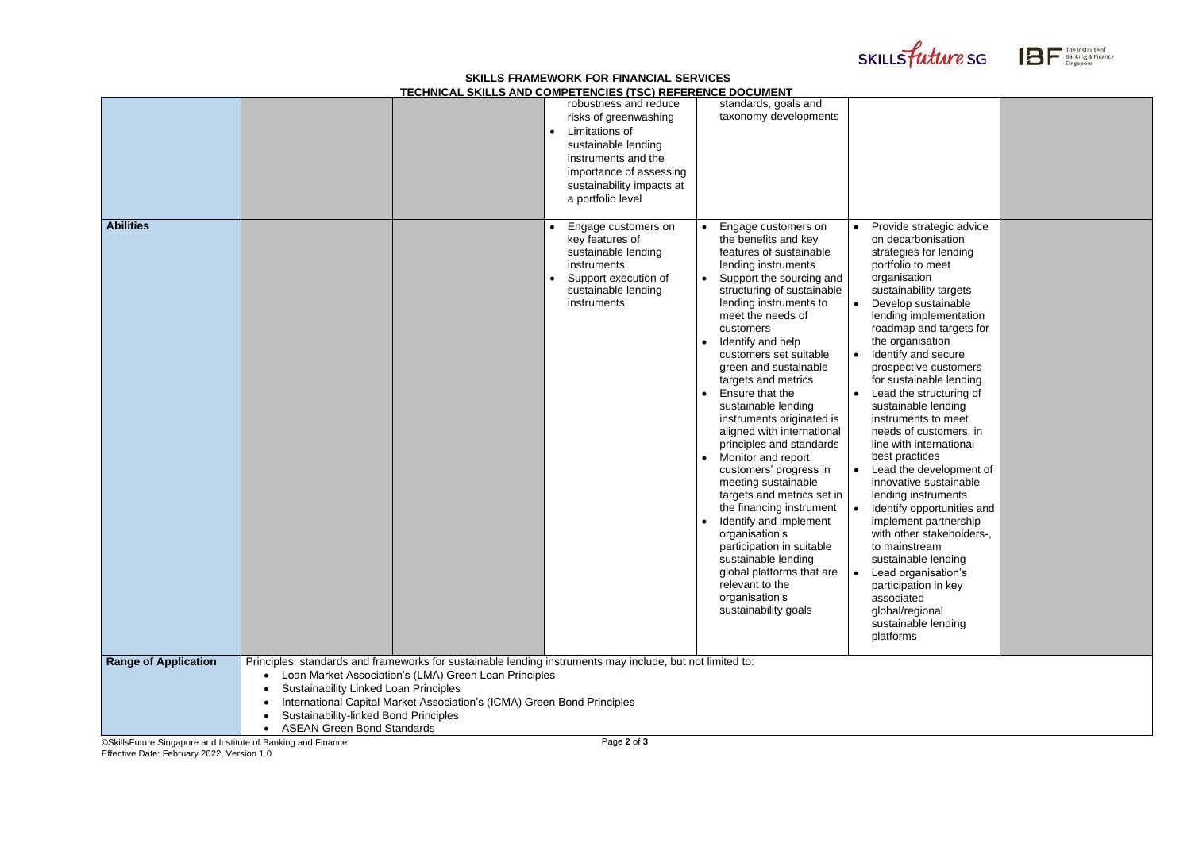©SkillsFuture Singapore and Institute of Banking and Finance Effective Date: February 2022, Version 1.0

## **SKILLS FRAMEWORK FOR FINANCIAL SERVICES**





The Institute of<br>Banking & Finance<br>Singapore

|                             |                                                                            |                                                                                                                                                                                                                                               | <u>TECHNICAL SKILLS AND COMPETENCIES (TSC) REFERENCE DOCUMENT</u>                                                                                                                           |                                                                                                                                                                                                                                                                                                                                                                                                                                                                                                                                                                                                                                                                                                                                                                                                          |                                                                                                                                                                                                                                                                                                                                                                                                                                                                                                                                                                                     |
|-----------------------------|----------------------------------------------------------------------------|-----------------------------------------------------------------------------------------------------------------------------------------------------------------------------------------------------------------------------------------------|---------------------------------------------------------------------------------------------------------------------------------------------------------------------------------------------|----------------------------------------------------------------------------------------------------------------------------------------------------------------------------------------------------------------------------------------------------------------------------------------------------------------------------------------------------------------------------------------------------------------------------------------------------------------------------------------------------------------------------------------------------------------------------------------------------------------------------------------------------------------------------------------------------------------------------------------------------------------------------------------------------------|-------------------------------------------------------------------------------------------------------------------------------------------------------------------------------------------------------------------------------------------------------------------------------------------------------------------------------------------------------------------------------------------------------------------------------------------------------------------------------------------------------------------------------------------------------------------------------------|
|                             |                                                                            |                                                                                                                                                                                                                                               | robustness and reduce<br>risks of greenwashing<br>Limitations of<br>sustainable lending<br>instruments and the<br>importance of assessing<br>sustainability impacts at<br>a portfolio level | standards, goals and<br>taxonomy developments                                                                                                                                                                                                                                                                                                                                                                                                                                                                                                                                                                                                                                                                                                                                                            |                                                                                                                                                                                                                                                                                                                                                                                                                                                                                                                                                                                     |
| <b>Abilities</b>            |                                                                            |                                                                                                                                                                                                                                               | Engage customers on<br>key features of<br>sustainable lending<br>instruments<br>Support execution of<br>$\bullet$<br>sustainable lending<br>instruments                                     | Engage customers on<br>the benefits and key<br>features of sustainable<br>lending instruments<br>Support the sourcing and<br>structuring of sustainable<br>lending instruments to<br>meet the needs of<br>customers<br>Identify and help<br>$\bullet$<br>customers set suitable<br>green and sustainable<br>targets and metrics<br>Ensure that the<br>sustainable lending<br>instruments originated is<br>aligned with international<br>principles and standards<br>Monitor and report<br>$\bullet$<br>customers' progress in<br>meeting sustainable<br>targets and metrics set in<br>the financing instrument<br>Identify and implement<br>organisation's<br>participation in suitable<br>sustainable lending<br>global platforms that are<br>relevant to the<br>organisation's<br>sustainability goals | Provide stra<br>on decarbo<br>strategies f<br>portfolio to<br>organisatio<br>sustainabili<br>Develop su<br>$\bullet$<br>lending imp<br>roadmap ar<br>the organis<br>Identify and<br>$\bullet$<br>prospective<br>for sustaina<br>Lead the st<br>$\bullet$<br>sustainable<br>instruments<br>needs of cu<br>line with int<br>best practic<br>Lead the de<br>$\bullet$<br>innovative s<br>lending inst<br>Identify opp<br>$\bullet$<br>implement<br>with other s<br>to mainstre<br>sustainable<br>Lead organ<br>participation<br>associated<br>global/regio<br>sustainable<br>platforms |
| <b>Range of Application</b> | <b>Sustainability Linked Loan Principles</b>                               | Principles, standards and frameworks for sustainable lending instruments may include, but not limited to:<br>Loan Market Association's (LMA) Green Loan Principles<br>International Capital Market Association's (ICMA) Green Bond Principles |                                                                                                                                                                                             |                                                                                                                                                                                                                                                                                                                                                                                                                                                                                                                                                                                                                                                                                                                                                                                                          |                                                                                                                                                                                                                                                                                                                                                                                                                                                                                                                                                                                     |
|                             | Sustainability-linked Bond Principles<br><b>ASEAN Green Bond Standards</b> |                                                                                                                                                                                                                                               |                                                                                                                                                                                             |                                                                                                                                                                                                                                                                                                                                                                                                                                                                                                                                                                                                                                                                                                                                                                                                          |                                                                                                                                                                                                                                                                                                                                                                                                                                                                                                                                                                                     |

| Provide strategic advice<br>on decarbonisation   |  |
|--------------------------------------------------|--|
| strategies for lending                           |  |
| portfolio to meet                                |  |
| organisation                                     |  |
| sustainability targets<br>Develop sustainable    |  |
| lending implementation                           |  |
| roadmap and targets for                          |  |
| the organisation                                 |  |
| Identify and secure                              |  |
| prospective customers<br>for sustainable lending |  |
| Lead the structuring of                          |  |
| sustainable lending                              |  |
| instruments to meet                              |  |
| needs of customers, in                           |  |
| line with international<br>best practices        |  |
| Lead the development of                          |  |
| innovative sustainable                           |  |
| lending instruments                              |  |
| Identify opportunities and                       |  |
| implement partnership                            |  |
| with other stakeholders-,<br>to mainstream       |  |
| sustainable lending                              |  |
| Lead organisation's                              |  |
| participation in key                             |  |
| associated                                       |  |
| global/regional<br>sustainable lending           |  |
| platforms                                        |  |
|                                                  |  |
|                                                  |  |